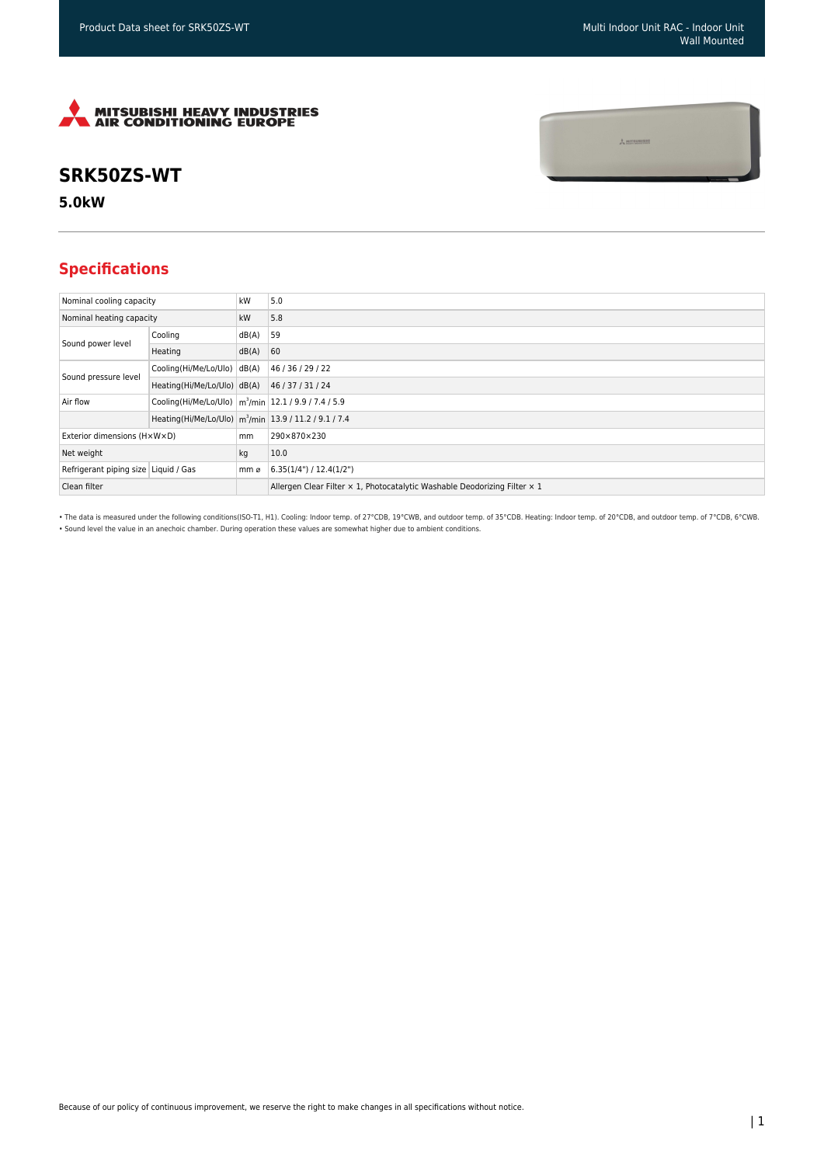$\frac{1}{2}$  mitsunishi



## **SRK50ZS-WT**

**5.0kW**

## **Specifications**

| Nominal cooling capacity             |                                                                      | kW    | 5.0                                                                       |
|--------------------------------------|----------------------------------------------------------------------|-------|---------------------------------------------------------------------------|
| Nominal heating capacity             |                                                                      | kW    | 5.8                                                                       |
| Sound power level                    | Cooling                                                              | dB(A) | 59                                                                        |
|                                      | Heating                                                              | dB(A) | 60                                                                        |
| Sound pressure level                 | Cooling(Hi/Me/Lo/Ulo)                                                | dB(A) | 46 / 36 / 29 / 22                                                         |
|                                      | Heating(Hi/Me/Lo/Ulo) dB(A)                                          |       | 46 / 37 / 31 / 24                                                         |
| Air flow                             | Cooling(Hi/Me/Lo/Ulo)   m <sup>3</sup> /min   12.1 / 9.9 / 7.4 / 5.9 |       |                                                                           |
|                                      | Heating(Hi/Me/Lo/Ulo) m <sup>3</sup> /min 13.9 / 11.2 / 9.1 / 7.4    |       |                                                                           |
| Exterior dimensions (HxWxD)          |                                                                      | mm    | 290×870×230                                                               |
| Net weight                           |                                                                      | kg    | 10.0                                                                      |
| Refrigerant piping size Liquid / Gas |                                                                      | mm ø  | 6.35(1/4")/12.4(1/2")                                                     |
| Clean filter                         |                                                                      |       | Allergen Clear Filter x 1, Photocatalytic Washable Deodorizing Filter x 1 |

• The data is measured under the following conditions(ISO-T1, H1). Cooling: Indoor temp. of 27°CDB, 19°CWB, and outdoor temp. of 35°CDB. Heating: Indoor temp. of 20°CDB, and outdoor temp. of 7°CDB, 6°CWB. • Sound level the value in an anechoic chamber. During operation these values are somewhat higher due to ambient conditions.